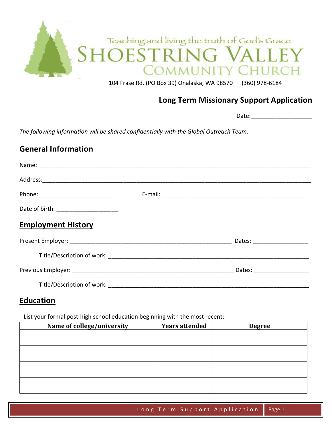

#### **Long Term Missionary Support Application**

Date:\_\_\_\_\_\_\_\_\_\_\_\_\_\_\_\_\_\_\_

*The following information will be shared confidentially with the Global Outreach Team.*

### **General Information**

| <b>Employment History</b>  |                               |  |
|----------------------------|-------------------------------|--|
|                            | Dates: ______________________ |  |
|                            |                               |  |
|                            |                               |  |
| Title/Description of work: |                               |  |

#### **Education**

List your formal post-high school education beginning with the most recent:

| Name of college/university | <b>Years attended</b> | <b>Degree</b> |
|----------------------------|-----------------------|---------------|
|                            |                       |               |
|                            |                       |               |
|                            |                       |               |
|                            |                       |               |
|                            |                       |               |
|                            |                       |               |
|                            |                       |               |
|                            |                       |               |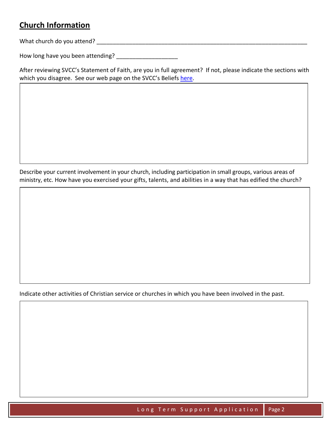## **Church Information**

What church do you attend? \_\_\_\_\_\_\_\_\_\_\_\_\_\_\_\_\_\_\_\_\_\_\_\_\_\_\_\_\_\_\_\_\_\_\_\_\_\_\_\_\_\_\_\_\_\_\_\_\_\_\_\_\_\_\_\_\_\_\_\_\_\_\_\_\_

How long have you been attending? \_\_\_\_\_\_\_\_\_\_\_\_\_\_\_\_\_\_\_

After reviewing SVCC's Statement of Faith, are you in full agreement? If not, please indicate the sections with which you disagree. See our web page on the SVCC's Beliefs [here.](http://www.svcchurch.com/about-us/beliefs/)

Describe your current involvement in your church, including participation in small groups, various areas of ministry, etc. How have you exercised your gifts, talents, and abilities in a way that has edified the church?

Indicate other activities of Christian service or churches in which you have been involved in the past.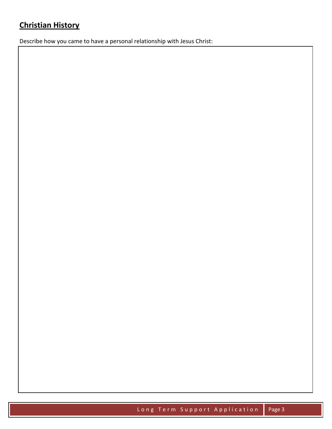# **Christian History**

Describe how you came to have a personal relationship with Jesus Christ: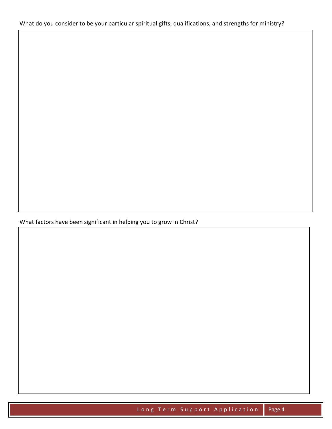What factors have been significant in helping you to grow in Christ?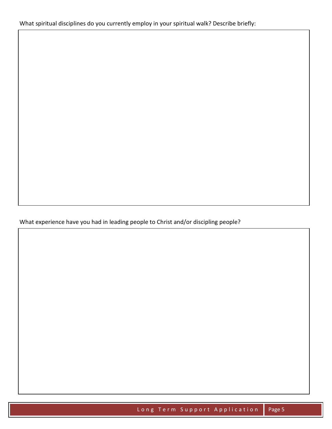What experience have you had in leading people to Christ and/or discipling people?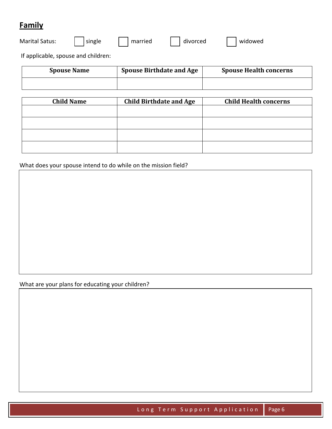## **Family**

| <b>Spouse Name</b> |                                     | <b>Spouse Birthdate and Age</b> |         | <b>Spouse Health concerns</b> |         |  |
|--------------------|-------------------------------------|---------------------------------|---------|-------------------------------|---------|--|
|                    | If applicable, spouse and children: |                                 |         |                               |         |  |
|                    | Marital Satus:                      | single                          | married | divorced                      | widowed |  |

| <b>Child Name</b> | <b>Child Birthdate and Age</b> | <b>Child Health concerns</b> |
|-------------------|--------------------------------|------------------------------|
|                   |                                |                              |
|                   |                                |                              |
|                   |                                |                              |
|                   |                                |                              |
|                   |                                |                              |

What does your spouse intend to do while on the mission field?

What are your plans for educating your children?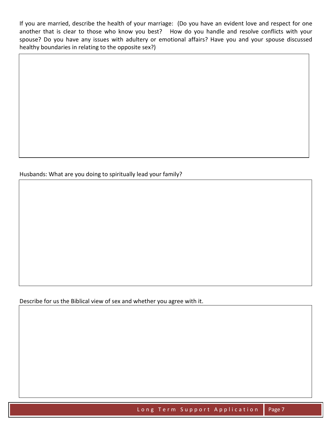If you are married, describe the health of your marriage: (Do you have an evident love and respect for one another that is clear to those who know you best? How do you handle and resolve conflicts with your spouse? Do you have any issues with adultery or emotional affairs? Have you and your spouse discussed healthy boundaries in relating to the opposite sex?)

Husbands: What are you doing to spiritually lead your family?

Describe for us the Biblical view of sex and whether you agree with it.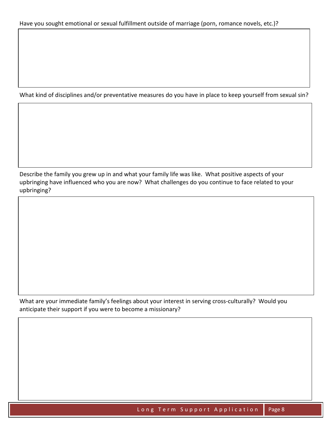What kind of disciplines and/or preventative measures do you have in place to keep yourself from sexual sin?

Describe the family you grew up in and what your family life was like. What positive aspects of your upbringing have influenced who you are now? What challenges do you continue to face related to your upbringing?

What are your immediate family's feelings about your interest in serving cross-culturally? Would you anticipate their support if you were to become a missionary?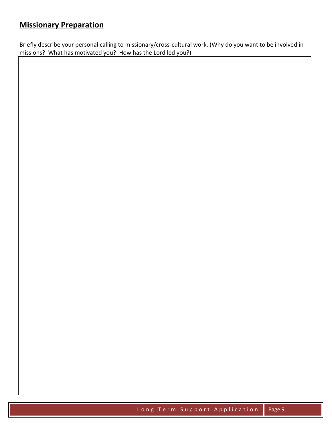## **Missionary Preparation**

Briefly describe your personal calling to missionary/cross-cultural work. (Why do you want to be involved in missions? What has motivated you? How has the Lord led you?)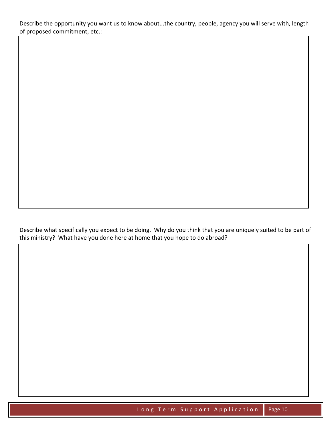Describe the opportunity you want us to know about...the country, people, agency you will serve with, length of proposed commitment, etc.:

Describe what specifically you expect to be doing. Why do you think that you are uniquely suited to be part of this ministry? What have you done here at home that you hope to do abroad?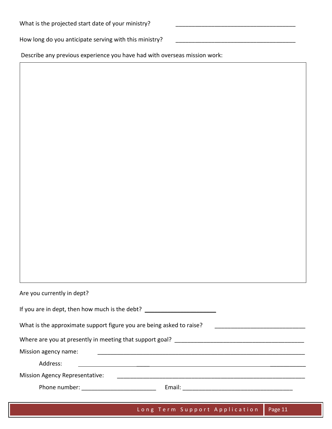| What is the projected start date of your ministry?     |  |
|--------------------------------------------------------|--|
| How long do you anticipate serving with this ministry? |  |

Describe any previous experience you have had with overseas mission work:

| Are you currently in dept?                                                                                                                                                                                                                                                                                                                                                                                                                                       |  |  |  |
|------------------------------------------------------------------------------------------------------------------------------------------------------------------------------------------------------------------------------------------------------------------------------------------------------------------------------------------------------------------------------------------------------------------------------------------------------------------|--|--|--|
| If you are in dept, then how much is the debt? _________________________________                                                                                                                                                                                                                                                                                                                                                                                 |  |  |  |
| What is the approximate support figure you are being asked to raise?                                                                                                                                                                                                                                                                                                                                                                                             |  |  |  |
|                                                                                                                                                                                                                                                                                                                                                                                                                                                                  |  |  |  |
| Mission agency name:                                                                                                                                                                                                                                                                                                                                                                                                                                             |  |  |  |
| Address:                                                                                                                                                                                                                                                                                                                                                                                                                                                         |  |  |  |
| <b>Mission Agency Representative:</b>                                                                                                                                                                                                                                                                                                                                                                                                                            |  |  |  |
| Phone number: and the state of the state of the state of the state of the state of the state of the state of the state of the state of the state of the state of the state of the state of the state of the state of the state<br>Email: Email: All and the state of the state of the state of the state of the state of the state of the state of the state of the state of the state of the state of the state of the state of the state of the state of the s |  |  |  |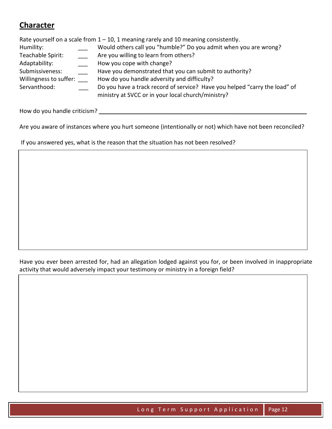## **Character**

Rate yourself on a scale from  $1 - 10$ , 1 meaning rarely and 10 meaning consistently. Humility: Would others call you "humble?" Do you admit when you are wrong? Teachable Spirit: Are you willing to learn from others? Adaptability: How you cope with change? Submissiveness: Have you demonstrated that you can submit to authority? Willingness to suffer: How do you handle adversity and difficulty? Servanthood: Do you have a track record of service? Have you helped "carry the load" of ministry at SVCC or in your local church/ministry?

How do you handle criticism?

Are you aware of instances where you hurt someone (intentionally or not) which have not been reconciled?

If you answered yes, what is the reason that the situation has not been resolved?

Have you ever been arrested for, had an allegation lodged against you for, or been involved in inappropriate activity that would adversely impact your testimony or ministry in a foreign field?